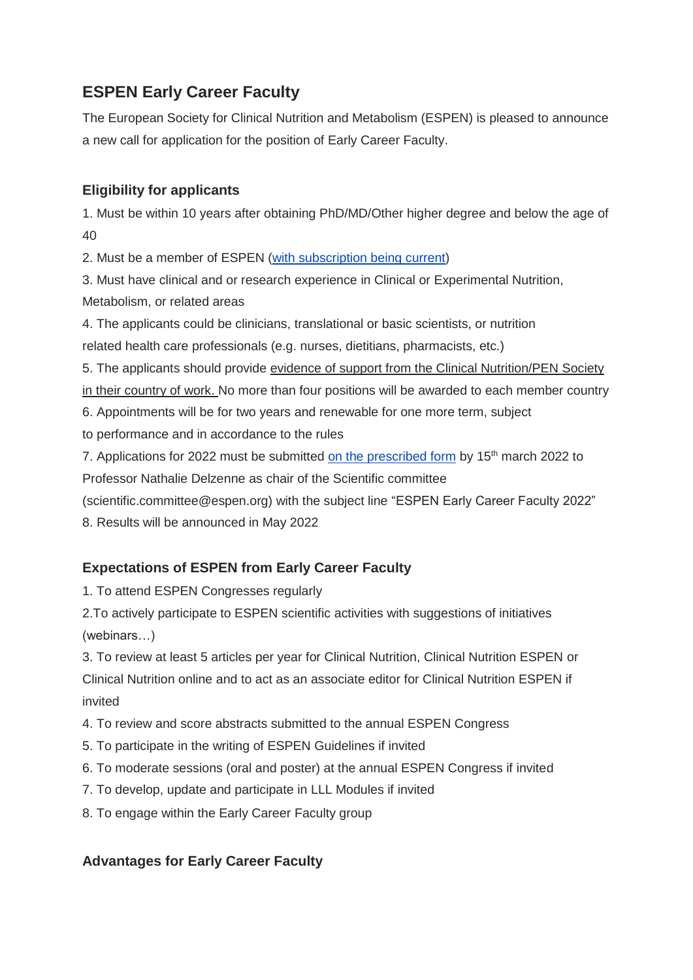## **ESPEN Early Career Faculty**

The European Society for Clinical Nutrition and Metabolism (ESPEN) is pleased to announce a new call for application for the position of Early Career Faculty.

## **Eligibility for applicants**

1. Must be within 10 years after obtaining PhD/MD/Other higher degree and below the age of 40

2. Must be a member of ESPEN [\(with subscription being current\)](https://www.espen.org/join-espen-as-a-member/join-espen)

3. Must have clinical and or research experience in Clinical or Experimental Nutrition, Metabolism, or related areas

4. The applicants could be clinicians, translational or basic scientists, or nutrition

related health care professionals (e.g. nurses, dietitians, pharmacists, etc.)

5. The applicants should provide evidence of support from the Clinical Nutrition/PEN Society

in their country of work. No more than four positions will be awarded to each member country

6. Appointments will be for two years and renewable for one more term, subject

to performance and in accordance to the rules

7. Applications for 2022 must be submitted [on the prescribed form](https://www.espen.org/files/education/ESPEN-Early-Career-Faculty-Application-Form-2022.doc) by 15<sup>th</sup> march 2022 to

Professor Nathalie Delzenne as chair of the Scientific committee

(scientific.committee@espen.org) with the subject line "ESPEN Early Career Faculty 2022"

8. Results will be announced in May 2022

## **Expectations of ESPEN from Early Career Faculty**

1. To attend ESPEN Congresses regularly

2.To actively participate to ESPEN scientific activities with suggestions of initiatives (webinars…)

3. To review at least 5 articles per year for Clinical Nutrition, Clinical Nutrition ESPEN or Clinical Nutrition online and to act as an associate editor for Clinical Nutrition ESPEN if invited

4. To review and score abstracts submitted to the annual ESPEN Congress

- 5. To participate in the writing of ESPEN Guidelines if invited
- 6. To moderate sessions (oral and poster) at the annual ESPEN Congress if invited
- 7. To develop, update and participate in LLL Modules if invited
- 8. To engage within the Early Career Faculty group

## **Advantages for Early Career Faculty**